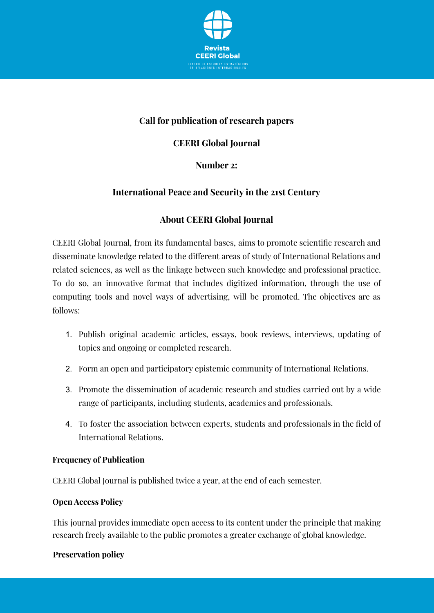

## **Call for publication of research papers**

## **CEERI Global Journal**

#### **Number 2:**

### **International Peace and Security in the 21st Century**

### **About CEERI Global Journal**

CEERI Global Journal, from its fundamental bases, aims to promote scientific research and disseminate knowledge related to the different areas of study of International Relations and related sciences, as well as the linkage between such knowledge and professional practice. To do so, an innovative format that includes digitized information, through the use of computing tools and novel ways of advertising, will be promoted. The objectives are as follows:

- 1. Publish original academic articles, essays, book reviews, interviews, updating of topics and ongoing or completed research.
- 2. Form an open and participatory epistemic community of International Relations.
- 3. Promote the dissemination of academic research and studies carried out by a wide range of participants, including students, academics and professionals.
- 4. To foster the association between experts, students and professionals in the field of International Relations.

#### **Frequency of Publication**

CEERI Global Journal is published twice a year, at the end of each semester.

#### **Open Access Policy**

This journal provides immediate open access to its content under the principle that making research freely available to the public promotes a greater exchange of global knowledge.

#### **Preservation policy**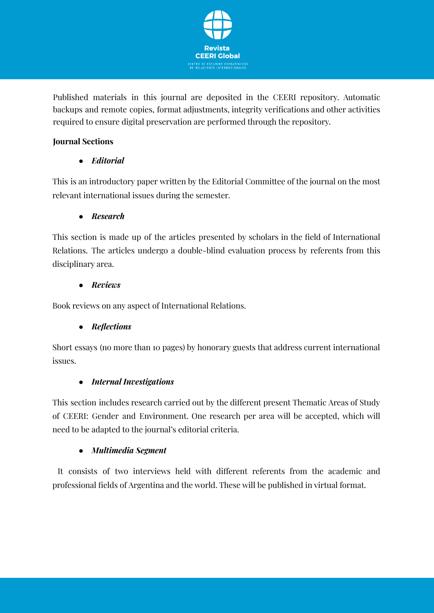

Published materials in this journal are deposited in the CEERI repository. Automatic backups and remote copies, format adjustments, integrity verifications and other activities required to ensure digital preservation are performed through the repository.

### **Journal Sections**

● *Editorial*

This is an introductory paper written by the Editorial Committee of the journal on the most relevant international issues during the semester.

## ● *Research*

This section is made up of the articles presented by scholars in the field of International Relations. The articles undergo a double-blind evaluation process by referents from this disciplinary area.

### ● *Reviews*

Book reviews on any aspect of International Relations.

# ● *Reflections*

Short essays (no more than 10 pages) by honorary guests that address current international issues.

# ● *Internal Investigations*

This section includes research carried out by the different present Thematic Areas of Study of CEERI: Gender and Environment. One research per area will be accepted, which will need to be adapted to the journal's editorial criteria.

### ● *Multimedia Segment*

It consists of two interviews held with different referents from the academic and professional fields of Argentina and the world. These will be published in virtual format.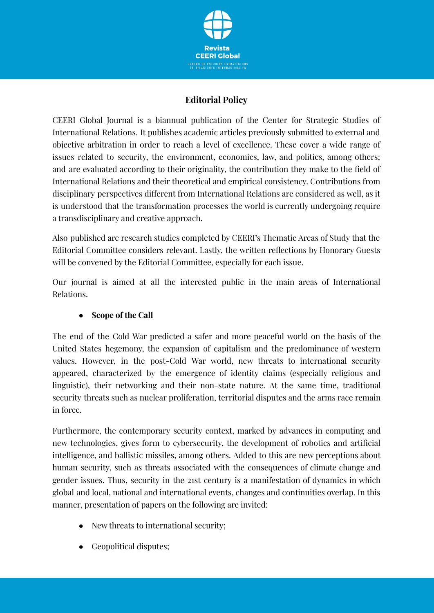

## **Editorial Policy**

CEERI Global Journal is a biannual publication of the Center for Strategic Studies of International Relations. It publishes academic articles previously submitted to external and objective arbitration in order to reach a level of excellence. These cover a wide range of issues related to security, the environment, economics, law, and politics, among others; and are evaluated according to their originality, the contribution they make to the field of International Relations and their theoretical and empirical consistency. Contributions from disciplinary perspectives different from International Relations are considered as well, as it is understood that the transformation processes the world is currently undergoing require a transdisciplinary and creative approach.

Also published are research studies completed by CEERI's Thematic Areas of Study that the Editorial Committee considers relevant. Lastly, the written reflections by Honorary Guests will be convened by the Editorial Committee, especially for each issue.

Our journal is aimed at all the interested public in the main areas of International Relations.

### ● **Scope of the Call**

The end of the Cold War predicted a safer and more peaceful world on the basis of the United States hegemony, the expansion of capitalism and the predominance of western values. However, in the post-Cold War world, new threats to international security appeared, characterized by the emergence of identity claims (especially religious and linguistic), their networking and their non-state nature. At the same time, traditional security threats such as nuclear proliferation, territorial disputes and the arms race remain in force.

Furthermore, the contemporary security context, marked by advances in computing and new technologies, gives form to cybersecurity, the development of robotics and artificial intelligence, and ballistic missiles, among others. Added to this are new perceptions about human security, such as threats associated with the consequences of climate change and gender issues. Thus, security in the 21st century is a manifestation of dynamics in which global and local, national and international events, changes and continuities overlap. In this manner, presentation of papers on the following are invited:

- New threats to international security;
- **EXECUTE:** Geopolitical disputes: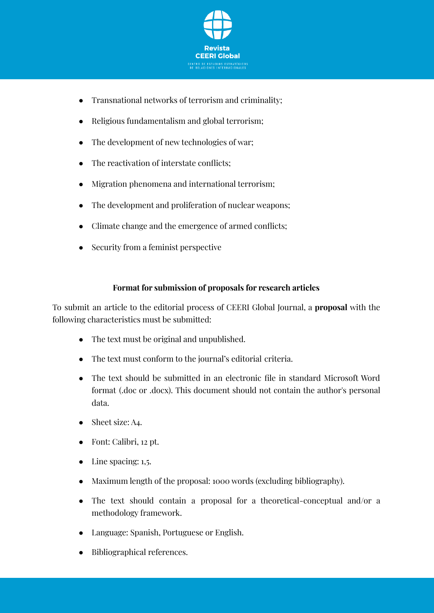

- Transnational networks of terrorism and criminality;
- Religious fundamentalism and global terrorism;
- The development of new technologies of war;
- The reactivation of interstate conflicts:
- Migration phenomena and international terrorism;
- The development and proliferation of nuclear weapons:
- Climate change and the emergence of armed conflicts;
- Security from a feminist perspective

#### **Format for submission of proposals for research articles**

To submit an article to the editorial process of CEERI Global Journal, a **proposal** with the following characteristics must be submitted:

- The text must be original and unpublished.
- The text must conform to the journal's editorial criteria.
- The text should be submitted in an electronic file in standard Microsoft Word format (.doc or .docx). This document should not contain the author's personal data.
- Sheet size: A4.
- Font: Calibri, 12 pt.
- $\bullet$  Line spacing: 1,5.
- Maximum length of the proposal: 1000 words (excluding bibliography).
- The text should contain a proposal for a theoretical-conceptual and/or a methodology framework.
- Language: Spanish, Portuguese or English.
- Bibliographical references.